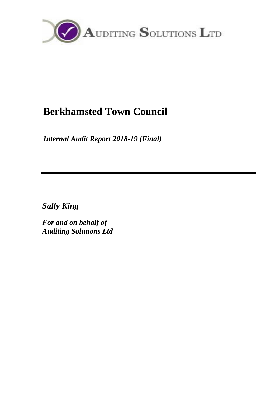

# **Berkhamsted Town Council**

*Internal Audit Report 2018-19 (Final)*

*Sally King*

*For and on behalf of Auditing Solutions Ltd*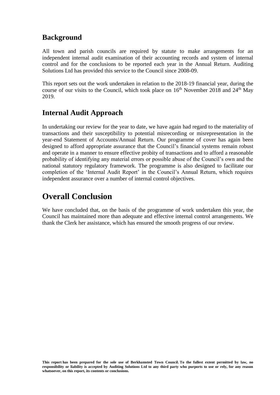### **Background**

All town and parish councils are required by statute to make arrangements for an independent internal audit examination of their accounting records and system of internal control and for the conclusions to be reported each year in the Annual Return. Auditing Solutions Ltd has provided this service to the Council since 2008-09.

This report sets out the work undertaken in relation to the 2018-19 financial year, during the course of our visits to the Council, which took place on  $16<sup>th</sup>$  November 2018 and  $24<sup>th</sup>$  May 2019.

### **Internal Audit Approach**

In undertaking our review for the year to date, we have again had regard to the materiality of transactions and their susceptibility to potential misrecording or misrepresentation in the year-end Statement of Accounts/Annual Return. Our programme of cover has again been designed to afford appropriate assurance that the Council's financial systems remain robust and operate in a manner to ensure effective probity of transactions and to afford a reasonable probability of identifying any material errors or possible abuse of the Council's own and the national statutory regulatory framework. The programme is also designed to facilitate our completion of the 'Internal Audit Report' in the Council's Annual Return, which requires independent assurance over a number of internal control objectives.

# **Overall Conclusion**

We have concluded that, on the basis of the programme of work undertaken this year, the Council has maintained more than adequate and effective internal control arrangements. We thank the Clerk her assistance, which has ensured the smooth progress of our review.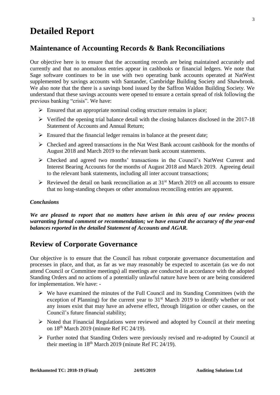# **Detailed Report**

### **Maintenance of Accounting Records & Bank Reconciliations**

Our objective here is to ensure that the accounting records are being maintained accurately and currently and that no anomalous entries appear in cashbooks or financial ledgers. We note that Sage software continues to be in use with two operating bank accounts operated at NatWest supplemented by savings accounts with Santander, Cambridge Building Society and Shawbrook. We also note that the there is a savings bond issued by the Saffron Waldon Building Society. We understand that these savings accounts were opened to ensure a certain spread of risk following the previous banking "crisis". We have:

- $\triangleright$  Ensured that an appropriate nominal coding structure remains in place;
- $\triangleright$  Verified the opening trial balance detail with the closing balances disclosed in the 2017-18 Statement of Accounts and Annual Return;
- $\triangleright$  Ensured that the financial ledger remains in balance at the present date;
- $\triangleright$  Checked and agreed transactions in the Nat West Bank account cashbook for the months of August 2018 and March 2019 to the relevant bank account statements.
- ➢ Checked and agreed two months' transactions in the Council's NatWest Current and Interest Bearing Accounts for the months of August 2018 and March 2019. Agreeing detail to the relevant bank statements, including all inter account transactions;
- $\triangleright$  Reviewed the detail on bank reconciliation as at 31<sup>st</sup> March 2019 on all accounts to ensure that no long-standing cheques or other anomalous reconciling entries are apparent.

#### *Conclusions*

*We are pleased to report that no matters have arisen in this area of our review process warranting formal comment or recommendation; we have ensured the accuracy of the year-end balances reported in the detailed Statement of Accounts and AGAR.*

### **Review of Corporate Governance**

Our objective is to ensure that the Council has robust corporate governance documentation and processes in place, and that, as far as we may reasonably be expected to ascertain (as we do not attend Council or Committee meetings) all meetings are conducted in accordance with the adopted Standing Orders and no actions of a potentially unlawful nature have been or are being considered for implementation. We have: -

- ➢ We have examined the minutes of the Full Council and its Standing Committees (with the exception of Planning) for the current year to  $31<sup>st</sup>$  March 2019 to identify whether or not any issues exist that may have an adverse effect, through litigation or other causes, on the Council's future financial stability;
- $\triangleright$  Noted that Financial Regulations were reviewed and adopted by Council at their meeting on 18th March 2019 (minute Ref FC 24/19).
- ➢ Further noted that Standing Orders were previously revised and re-adopted by Council at their meeting in  $18<sup>th</sup>$  March 2019 (minute Ref FC 24/19).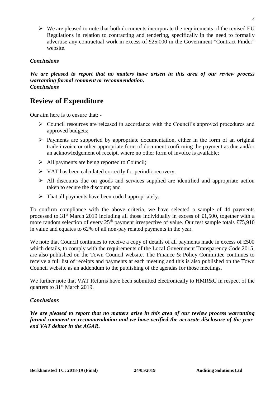$\triangleright$  We are pleased to note that both documents incorporate the requirements of the revised EU Regulations in relation to contracting and tendering, specifically in the need to formally advertise any contractual work in excess of £25,000 in the Government "Contract Finder" website.

#### *Conclusions*

*We are pleased to report that no matters have arisen in this area of our review process warranting formal comment or recommendation. Conclusions*

### **Review of Expenditure**

Our aim here is to ensure that: -

- ➢ Council resources are released in accordance with the Council's approved procedures and approved budgets;
- $\triangleright$  Payments are supported by appropriate documentation, either in the form of an original trade invoice or other appropriate form of document confirming the payment as due and/or an acknowledgement of receipt, where no other form of invoice is available;
- ➢ All payments are being reported to Council;
- ➢ VAT has been calculated correctly for periodic recovery;
- ➢ All discounts due on goods and services supplied are identified and appropriate action taken to secure the discount; and
- $\triangleright$  That all payments have been coded appropriately.

To confirm compliance with the above criteria, we have selected a sample of 44 payments processed to  $31<sup>st</sup>$  March 2019 including all those individually in excess of £1,500, together with a more random selection of every  $25<sup>th</sup>$  payment irrespective of value. Our test sample totals £75,910 in value and equates to 62% of all non-pay related payments in the year.

We note that Council continues to receive a copy of details of all payments made in excess of £500 which details, to comply with the requirements of the Local Government Transparency Code 2015, are also published on the Town Council website. The Finance & Policy Committee continues to receive a full list of receipts and payments at each meeting and this is also published on the Town Council website as an addendum to the publishing of the agendas for those meetings.

We further note that VAT Returns have been submitted electronically to HMR&C in respect of the quarters to 31st March 2019.

#### *Conclusions*

*We are pleased to report that no matters arise in this area of our review process warranting formal comment or recommendation and we have verified the accurate disclosure of the yearend VAT debtor in the AGAR.*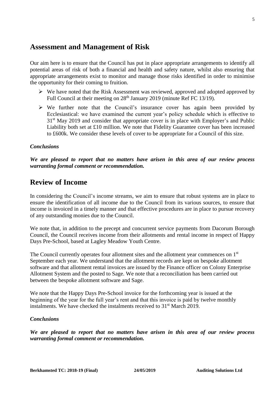### **Assessment and Management of Risk**

Our aim here is to ensure that the Council has put in place appropriate arrangements to identify all potential areas of risk of both a financial and health and safety nature, whilst also ensuring that appropriate arrangements exist to monitor and manage those risks identified in order to minimise the opportunity for their coming to fruition.

- $\triangleright$  We have noted that the Risk Assessment was reviewed, approved and adopted approved by Full Council at their meeting on 28<sup>th</sup> January 2019 (minute Ref FC 13/19).
- $\triangleright$  We further note that the Council's insurance cover has again been provided by Ecclesiastical: we have examined the current year's policy schedule which is effective to 31<sup>st</sup> May 2019 and consider that appropriate cover is in place with Employer's and Public Liability both set at £10 million. We note that Fidelity Guarantee cover has been increased to £600k. We consider these levels of cover to be appropriate for a Council of this size.

#### *Conclusions*

*We are pleased to report that no matters have arisen in this area of our review process warranting formal comment or recommendation.*

### **Review of Income**

In considering the Council's income streams, we aim to ensure that robust systems are in place to ensure the identification of all income due to the Council from its various sources, to ensure that income is invoiced in a timely manner and that effective procedures are in place to pursue recovery of any outstanding monies due to the Council.

We note that, in addition to the precept and concurrent service payments from Dacorum Borough Council, the Council receives income from their allotments and rental income in respect of Happy Days Pre-School, based at Lagley Meadow Youth Centre.

The Council currently operates four allotment sites and the allotment year commences on 1st September each year. We understand that the allotment records are kept on bespoke allotment software and that allotment rental invoices are issued by the Finance officer on Colony Enterprise Allotment System and the posted to Sage. We note that a reconciliation has been carried out between the bespoke allotment software and Sage.

We note that the Happy Days Pre-School invoice for the forthcoming year is issued at the beginning of the year for the full year's rent and that this invoice is paid by twelve monthly instalments. We have checked the instalments received to  $31<sup>st</sup>$  March 2019.

#### *Conclusions*

*We are pleased to report that no matters have arisen in this area of our review process warranting formal comment or recommendation.*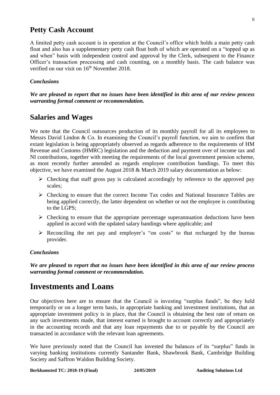### **Petty Cash Account**

A limited petty cash account is in operation at the Council's office which holds a main petty cash float and also has a supplementary petty cash float both of which are operated on a "topped up as and when" basis with independent control and approval by the Clerk, subsequent to the Finance Officer's transaction processing and cash counting, on a monthly basis. The cash balance was verified on our visit on 16<sup>th</sup> November 2018.

#### *Conclusions*

*We are pleased to report that no issues have been identified in this area of our review process warranting formal comment or recommendation.*

### **Salaries and Wages**

We note that the Council outsources production of its monthly payroll for all its employees to Messrs David Lindon & Co. In examining the Council's payroll function, we aim to confirm that extant legislation is being appropriately observed as regards adherence to the requirements of HM Revenue and Customs (HMRC) legislation and the deduction and payment over of income tax and NI contributions, together with meeting the requirements of the local government pension scheme, as most recently further amended as regards employee contribution bandings. To meet this objective, we have examined the August 2018 & March 2019 salary documentation as below:

- ➢ Checking that staff gross pay is calculated accordingly by reference to the approved pay scales;
- ➢ Checking to ensure that the correct Income Tax codes and National Insurance Tables are being applied correctly, the latter dependent on whether or not the employee is contributing to the LGPS;
- $\triangleright$  Checking to ensure that the appropriate percentage superannuation deductions have been applied in accord with the updated salary bandings where applicable; and
- ➢ Reconciling the net pay and employer's "on costs" to that recharged by the bureau provider.

#### *Conclusions*

*We are pleased to report that no issues have been identified in this area of our review process warranting formal comment or recommendation.*

## **Investments and Loans**

Our objectives here are to ensure that the Council is investing "surplus funds", be they held temporarily or on a longer term basis, in appropriate banking and investment institutions, that an appropriate investment policy is in place, that the Council is obtaining the best rate of return on any such investments made, that interest earned is brought to account correctly and appropriately in the accounting records and that any loan repayments due to or payable by the Council are transacted in accordance with the relevant loan agreements.

We have previously noted that the Council has invested the balances of its "surplus" funds in varying banking institutions currently Santander Bank, Shawbrook Bank, Cambridge Building Society and Saffron Waldon Building Society.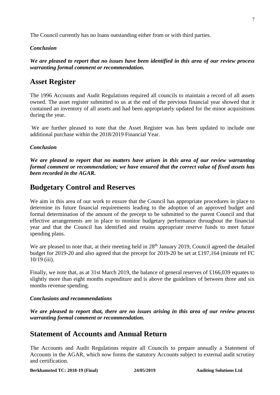The Council currently has no loans outstanding either from or with third parties.

#### *Conclusion*

*We are pleased to report that no issues have been identified in this area of our review process warranting formal comment or recommendation.* 

### **Asset Register**

The 1996 Accounts and Audit Regulations required all councils to maintain a record of all assets owned. The asset register submitted to us at the end of the previous financial year showed that it contained an inventory of all assets and had been appropriately updated for the minor acquisitions during the year.

We are further pleased to note that the Asset Register was has been updated to include one additional purchase within the 2018/2019 Financial Year.

#### *Conclusion*

*We are pleased to report that no matters have arisen in this area of our review warranting formal comment or recommendation; we have ensured that the correct value of fixed assets has been recorded in the AGAR.*

### **Budgetary Control and Reserves**

We aim in this area of our work to ensure that the Council has appropriate procedures in place to determine its future financial requirements leading to the adoption of an approved budget and formal determination of the amount of the precept to be submitted to the parent Council and that effective arrangements are in place to monitor budgetary performance throughout the financial year and that the Council has identified and retains appropriate reserve funds to meet future spending plans.

We are pleased to note that, at their meeting held in 28<sup>th</sup> January 2019, Council agreed the detailed budget for 2019-20 and also agreed that the precept for 2019-20 be set at £197,164 (minute ref FC 10/19 (iii).

Finally, we note that, as at 31st March 2019, the balance of general reserves of £166,039 equates to slightly more than eight months expenditure and is above the guidelines of between three and six months revenue spending.

#### *Conclusions and recommendations*

*We are pleased to report that, there are no issues arising in this area of our review process warranting formal comment or recommendation.*

### **Statement of Accounts and Annual Return**

The Accounts and Audit Regulations require all Councils to prepare annually a Statement of Accounts in the AGAR, which now forms the statutory Accounts subject to external audit scrutiny and certification.

**Berkhamsted TC: 2018-19 (Final) 24/05/2019 Auditing Solutions Ltd**